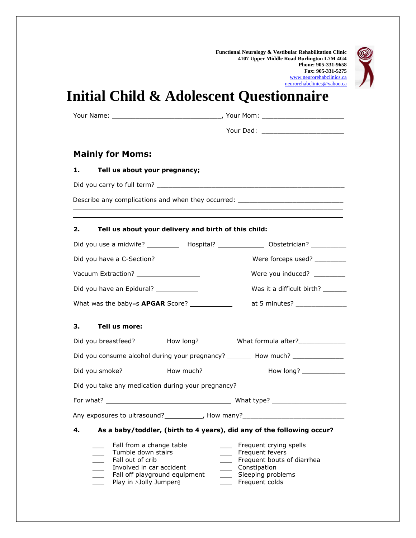**Functional Neurology & Vestibular Rehabilitation Clinic 4107 Upper Middle Road Burlington L7M 4G4 Phone: 905-331-9658 Fax: 905-331-5275** [www.neurorehabclinics.ca](http://www.neurorehabclinics.ca/) [neurorehabclinics@yahoo.ca](mailto:neurorehabclinics@yahoo.ca)



## **Initial Child & Adolescent Questionnaire**

| Your Name: |
|------------|
|            |

Your Name: \_\_\_\_\_\_\_\_\_\_\_\_\_\_\_\_\_\_\_\_\_\_\_\_\_\_\_\_, Your Mom: \_\_\_\_\_\_\_\_\_\_\_\_\_\_\_\_\_\_\_\_\_

Your Dad: \_\_\_\_\_\_\_\_\_\_\_\_\_\_\_\_\_\_\_\_\_

## **Mainly for Moms:**

## **1. Tell us about your pregnancy;**

Did you carry to full term? \_\_\_\_\_\_\_\_\_\_\_\_\_\_\_\_\_\_\_\_\_\_\_\_\_\_\_\_\_\_\_\_\_\_\_\_\_\_\_\_\_\_\_\_\_\_\_\_

Describe any complications and when they occurred: \_\_\_\_\_\_\_\_\_\_\_\_\_\_\_\_\_\_\_\_\_\_\_\_\_\_\_\_\_

## **2. Tell us about your delivery and birth of this child:**

| Did you use a midwife? ____________ Hospital? _________________ Obstetrician? ___________                                                                                                                         |                                |                                                                                                                                     |
|-------------------------------------------------------------------------------------------------------------------------------------------------------------------------------------------------------------------|--------------------------------|-------------------------------------------------------------------------------------------------------------------------------------|
| Did you have a C-Section? _____________                                                                                                                                                                           |                                | Were forceps used? _________                                                                                                        |
| Vacuum Extraction? ___________________                                                                                                                                                                            |                                | Were you induced? ________                                                                                                          |
| Did you have an Epidural? ____________                                                                                                                                                                            |                                | Was it a difficult birth? _______                                                                                                   |
| What was the baby=s <b>APGAR</b> Score? ______________                                                                                                                                                            |                                | at 5 minutes? _______________                                                                                                       |
| з.<br>Tell us more:                                                                                                                                                                                               |                                |                                                                                                                                     |
| Did you breastfeed? __________ How long? _____________ What formula after? _____________                                                                                                                          |                                |                                                                                                                                     |
| Did you consume alcohol during your pregnancy? ________ How much? ______________                                                                                                                                  |                                |                                                                                                                                     |
| Did you smoke? _____________ How much? ____________________ How long? ___________                                                                                                                                 |                                |                                                                                                                                     |
| Did you take any medication during your pregnancy?                                                                                                                                                                |                                |                                                                                                                                     |
|                                                                                                                                                                                                                   |                                |                                                                                                                                     |
| Any exposures to ultrasound?_____________, How many?_____________________________                                                                                                                                 |                                |                                                                                                                                     |
| 4.                                                                                                                                                                                                                |                                | As a baby/toddler, (birth to 4 years), did any of the following occur?                                                              |
| Fall from a change table<br>Tumble down stairs<br>Fall out of crib<br>Involved in car accident<br>$\overline{\phantom{0}}$<br>Fall off playground equipment<br>$\overline{\phantom{a}}$<br>Play in AJolly Jumper® | $\frac{1}{1}$<br>$\frac{1}{2}$ | Frequent crying spells<br>Frequent fevers<br>Frequent bouts of diarrhea<br>____ Constipation<br>Sleeping problems<br>Frequent colds |

 $\_$  ,  $\_$  ,  $\_$  ,  $\_$  ,  $\_$  ,  $\_$  ,  $\_$  ,  $\_$  ,  $\_$  ,  $\_$  ,  $\_$  ,  $\_$  ,  $\_$  ,  $\_$  ,  $\_$  ,  $\_$  ,  $\_$  ,  $\_$  ,  $\_$  ,  $\_$  ,  $\_$  ,  $\_$  ,  $\_$  ,  $\_$  ,  $\_$  ,  $\_$  ,  $\_$  ,  $\_$  ,  $\_$  ,  $\_$  ,  $\_$  ,  $\_$  ,  $\_$  ,  $\_$  ,  $\_$  ,  $\_$  ,  $\_$  ,  $\mathcal{L}_\mathcal{L} = \mathcal{L}_\mathcal{L} = \mathcal{L}_\mathcal{L} = \mathcal{L}_\mathcal{L} = \mathcal{L}_\mathcal{L} = \mathcal{L}_\mathcal{L} = \mathcal{L}_\mathcal{L} = \mathcal{L}_\mathcal{L} = \mathcal{L}_\mathcal{L} = \mathcal{L}_\mathcal{L} = \mathcal{L}_\mathcal{L} = \mathcal{L}_\mathcal{L} = \mathcal{L}_\mathcal{L} = \mathcal{L}_\mathcal{L} = \mathcal{L}_\mathcal{L} = \mathcal{L}_\mathcal{L} = \mathcal{L}_\mathcal{L}$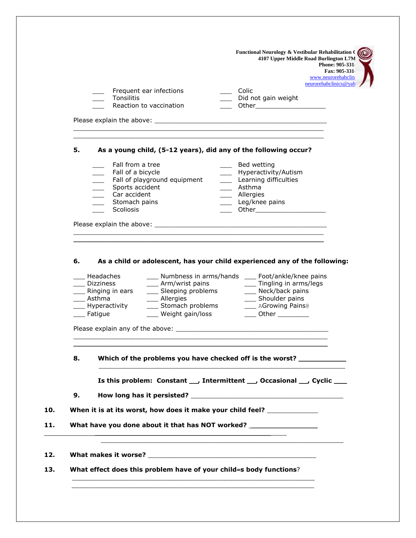| www.neurorehabclin<br>neurorehabclinics@yah<br>$\equiv$ Colic<br>Frequent ear infections<br>Tonsilitis<br>_ Did not gain weight<br>Reaction to vaccination<br>__ Other________________________<br>As a young child, (5-12 years), did any of the following occur?<br>Fall from a tree<br>____ Bed wetting<br>____ Hyperactivity/Autism<br>Fall of a bicycle<br>Fall of playground equipment<br>____ Learning difficulties<br>_____ Sports accident<br>____ Asthma<br>____ Car accident<br>____ Allergies<br>____ Leg/knee pains<br>Stomach pains<br><b>Scoliosis</b><br>_____ Other________________________<br>As a child or adolescent, has your child experienced any of the following:<br>___ Numbness in arms/hands ___ Foot/ankle/knee pains<br>Headaches<br>___ Arm/wrist pains ____ ____ Tingling in arms/legs<br>____ Dizziness<br>___ Sleeping problems<br>___ Neck/back pains<br>____ Ringing in ears<br>__ Shoulder pains<br>$\frac{1}{\sqrt{1-\frac{1}{2}}}$ Asthma<br>___ Allergies<br>___ Stomach problems<br>AGrowing Pains®<br>___ Hyperactivity<br>___ Weight gain/loss<br><sub>___</sub> Fatigue<br>__ Other __________<br>Which of the problems you have checked off is the worst? ____________<br>Is this problem: Constant ___, Intermittent ___, Occasional __, Cyclic ___<br>When it is at its worst, how does it make your child feel? ____________<br>What have you done about it that has NOT worked? _______________________________<br>What effect does this problem have of your child=s body functions? |    |  | 4107 Upper Middle Road Burlington L7M<br>Phone: 905-331<br>Fax: 905-331 |
|---------------------------------------------------------------------------------------------------------------------------------------------------------------------------------------------------------------------------------------------------------------------------------------------------------------------------------------------------------------------------------------------------------------------------------------------------------------------------------------------------------------------------------------------------------------------------------------------------------------------------------------------------------------------------------------------------------------------------------------------------------------------------------------------------------------------------------------------------------------------------------------------------------------------------------------------------------------------------------------------------------------------------------------------------------------------------------------------------------------------------------------------------------------------------------------------------------------------------------------------------------------------------------------------------------------------------------------------------------------------------------------------------------------------------------------------------------------------------------------------------------------------------------------|----|--|-------------------------------------------------------------------------|
|                                                                                                                                                                                                                                                                                                                                                                                                                                                                                                                                                                                                                                                                                                                                                                                                                                                                                                                                                                                                                                                                                                                                                                                                                                                                                                                                                                                                                                                                                                                                       |    |  |                                                                         |
|                                                                                                                                                                                                                                                                                                                                                                                                                                                                                                                                                                                                                                                                                                                                                                                                                                                                                                                                                                                                                                                                                                                                                                                                                                                                                                                                                                                                                                                                                                                                       |    |  |                                                                         |
|                                                                                                                                                                                                                                                                                                                                                                                                                                                                                                                                                                                                                                                                                                                                                                                                                                                                                                                                                                                                                                                                                                                                                                                                                                                                                                                                                                                                                                                                                                                                       |    |  |                                                                         |
|                                                                                                                                                                                                                                                                                                                                                                                                                                                                                                                                                                                                                                                                                                                                                                                                                                                                                                                                                                                                                                                                                                                                                                                                                                                                                                                                                                                                                                                                                                                                       |    |  |                                                                         |
|                                                                                                                                                                                                                                                                                                                                                                                                                                                                                                                                                                                                                                                                                                                                                                                                                                                                                                                                                                                                                                                                                                                                                                                                                                                                                                                                                                                                                                                                                                                                       |    |  |                                                                         |
|                                                                                                                                                                                                                                                                                                                                                                                                                                                                                                                                                                                                                                                                                                                                                                                                                                                                                                                                                                                                                                                                                                                                                                                                                                                                                                                                                                                                                                                                                                                                       | 5. |  |                                                                         |
|                                                                                                                                                                                                                                                                                                                                                                                                                                                                                                                                                                                                                                                                                                                                                                                                                                                                                                                                                                                                                                                                                                                                                                                                                                                                                                                                                                                                                                                                                                                                       |    |  |                                                                         |
|                                                                                                                                                                                                                                                                                                                                                                                                                                                                                                                                                                                                                                                                                                                                                                                                                                                                                                                                                                                                                                                                                                                                                                                                                                                                                                                                                                                                                                                                                                                                       |    |  |                                                                         |
|                                                                                                                                                                                                                                                                                                                                                                                                                                                                                                                                                                                                                                                                                                                                                                                                                                                                                                                                                                                                                                                                                                                                                                                                                                                                                                                                                                                                                                                                                                                                       |    |  |                                                                         |
|                                                                                                                                                                                                                                                                                                                                                                                                                                                                                                                                                                                                                                                                                                                                                                                                                                                                                                                                                                                                                                                                                                                                                                                                                                                                                                                                                                                                                                                                                                                                       |    |  |                                                                         |
|                                                                                                                                                                                                                                                                                                                                                                                                                                                                                                                                                                                                                                                                                                                                                                                                                                                                                                                                                                                                                                                                                                                                                                                                                                                                                                                                                                                                                                                                                                                                       |    |  |                                                                         |
|                                                                                                                                                                                                                                                                                                                                                                                                                                                                                                                                                                                                                                                                                                                                                                                                                                                                                                                                                                                                                                                                                                                                                                                                                                                                                                                                                                                                                                                                                                                                       |    |  |                                                                         |
|                                                                                                                                                                                                                                                                                                                                                                                                                                                                                                                                                                                                                                                                                                                                                                                                                                                                                                                                                                                                                                                                                                                                                                                                                                                                                                                                                                                                                                                                                                                                       |    |  |                                                                         |
|                                                                                                                                                                                                                                                                                                                                                                                                                                                                                                                                                                                                                                                                                                                                                                                                                                                                                                                                                                                                                                                                                                                                                                                                                                                                                                                                                                                                                                                                                                                                       |    |  |                                                                         |
|                                                                                                                                                                                                                                                                                                                                                                                                                                                                                                                                                                                                                                                                                                                                                                                                                                                                                                                                                                                                                                                                                                                                                                                                                                                                                                                                                                                                                                                                                                                                       |    |  |                                                                         |
|                                                                                                                                                                                                                                                                                                                                                                                                                                                                                                                                                                                                                                                                                                                                                                                                                                                                                                                                                                                                                                                                                                                                                                                                                                                                                                                                                                                                                                                                                                                                       |    |  |                                                                         |
|                                                                                                                                                                                                                                                                                                                                                                                                                                                                                                                                                                                                                                                                                                                                                                                                                                                                                                                                                                                                                                                                                                                                                                                                                                                                                                                                                                                                                                                                                                                                       |    |  |                                                                         |
|                                                                                                                                                                                                                                                                                                                                                                                                                                                                                                                                                                                                                                                                                                                                                                                                                                                                                                                                                                                                                                                                                                                                                                                                                                                                                                                                                                                                                                                                                                                                       | 6. |  |                                                                         |
|                                                                                                                                                                                                                                                                                                                                                                                                                                                                                                                                                                                                                                                                                                                                                                                                                                                                                                                                                                                                                                                                                                                                                                                                                                                                                                                                                                                                                                                                                                                                       |    |  |                                                                         |
|                                                                                                                                                                                                                                                                                                                                                                                                                                                                                                                                                                                                                                                                                                                                                                                                                                                                                                                                                                                                                                                                                                                                                                                                                                                                                                                                                                                                                                                                                                                                       |    |  |                                                                         |
|                                                                                                                                                                                                                                                                                                                                                                                                                                                                                                                                                                                                                                                                                                                                                                                                                                                                                                                                                                                                                                                                                                                                                                                                                                                                                                                                                                                                                                                                                                                                       |    |  |                                                                         |
|                                                                                                                                                                                                                                                                                                                                                                                                                                                                                                                                                                                                                                                                                                                                                                                                                                                                                                                                                                                                                                                                                                                                                                                                                                                                                                                                                                                                                                                                                                                                       |    |  |                                                                         |
|                                                                                                                                                                                                                                                                                                                                                                                                                                                                                                                                                                                                                                                                                                                                                                                                                                                                                                                                                                                                                                                                                                                                                                                                                                                                                                                                                                                                                                                                                                                                       |    |  |                                                                         |
|                                                                                                                                                                                                                                                                                                                                                                                                                                                                                                                                                                                                                                                                                                                                                                                                                                                                                                                                                                                                                                                                                                                                                                                                                                                                                                                                                                                                                                                                                                                                       |    |  |                                                                         |
|                                                                                                                                                                                                                                                                                                                                                                                                                                                                                                                                                                                                                                                                                                                                                                                                                                                                                                                                                                                                                                                                                                                                                                                                                                                                                                                                                                                                                                                                                                                                       |    |  |                                                                         |
|                                                                                                                                                                                                                                                                                                                                                                                                                                                                                                                                                                                                                                                                                                                                                                                                                                                                                                                                                                                                                                                                                                                                                                                                                                                                                                                                                                                                                                                                                                                                       |    |  |                                                                         |
|                                                                                                                                                                                                                                                                                                                                                                                                                                                                                                                                                                                                                                                                                                                                                                                                                                                                                                                                                                                                                                                                                                                                                                                                                                                                                                                                                                                                                                                                                                                                       | 8. |  |                                                                         |
|                                                                                                                                                                                                                                                                                                                                                                                                                                                                                                                                                                                                                                                                                                                                                                                                                                                                                                                                                                                                                                                                                                                                                                                                                                                                                                                                                                                                                                                                                                                                       |    |  |                                                                         |
|                                                                                                                                                                                                                                                                                                                                                                                                                                                                                                                                                                                                                                                                                                                                                                                                                                                                                                                                                                                                                                                                                                                                                                                                                                                                                                                                                                                                                                                                                                                                       | 9. |  |                                                                         |
|                                                                                                                                                                                                                                                                                                                                                                                                                                                                                                                                                                                                                                                                                                                                                                                                                                                                                                                                                                                                                                                                                                                                                                                                                                                                                                                                                                                                                                                                                                                                       |    |  |                                                                         |
|                                                                                                                                                                                                                                                                                                                                                                                                                                                                                                                                                                                                                                                                                                                                                                                                                                                                                                                                                                                                                                                                                                                                                                                                                                                                                                                                                                                                                                                                                                                                       |    |  |                                                                         |
|                                                                                                                                                                                                                                                                                                                                                                                                                                                                                                                                                                                                                                                                                                                                                                                                                                                                                                                                                                                                                                                                                                                                                                                                                                                                                                                                                                                                                                                                                                                                       |    |  |                                                                         |